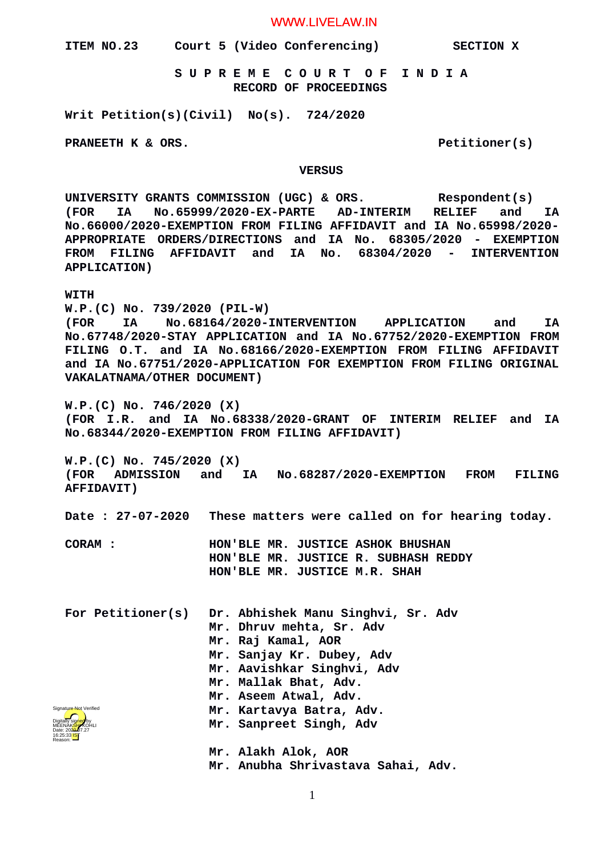#### WWW.LIVELAW.IN

**ITEM NO.23 Court 5 (Video Conferencing) SECTION X**

 **S U P R E M E C O U R T O F I N D I A RECORD OF PROCEEDINGS**

**Writ Petition(s)(Civil) No(s). 724/2020**

**PRANEETH K & ORS.** PRANEETH K & ORS.

#### **VERSUS**

**UNIVERSITY GRANTS COMMISSION (UGC) & ORS. Respondent(s) (FOR IA No.65999/2020-EX-PARTE AD-INTERIM RELIEF and IA No.66000/2020-EXEMPTION FROM FILING AFFIDAVIT and IA No.65998/2020- APPROPRIATE ORDERS/DIRECTIONS and IA No. 68305/2020 - EXEMPTION FROM FILING AFFIDAVIT and IA No. 68304/2020 - INTERVENTION APPLICATION)** 

### **WITH**

**W.P.(C) No. 739/2020 (PIL-W)**

**(FOR IA No.68164/2020-INTERVENTION APPLICATION and IA No.67748/2020-STAY APPLICATION and IA No.67752/2020-EXEMPTION FROM FILING O.T. and IA No.68166/2020-EXEMPTION FROM FILING AFFIDAVIT and IA No.67751/2020-APPLICATION FOR EXEMPTION FROM FILING ORIGINAL VAKALATNAMA/OTHER DOCUMENT)**

**W.P.(C) No. 746/2020 (X) (FOR I.R. and IA No.68338/2020-GRANT OF INTERIM RELIEF and IA No.68344/2020-EXEMPTION FROM FILING AFFIDAVIT)**

**W.P.(C) No. 745/2020 (X) (FOR ADMISSION and IA No.68287/2020-EXEMPTION FROM FILING AFFIDAVIT)**

**Date : 27-07-2020 These matters were called on for hearing today.**

**CORAM : HON'BLE MR. JUSTICE ASHOK BHUSHAN HON'BLE MR. JUSTICE R. SUBHASH REDDY HON'BLE MR. JUSTICE M.R. SHAH**

|                                                                        | For Petitioner(s) Dr. Abhishek Manu Singhvi, Sr. Adv |
|------------------------------------------------------------------------|------------------------------------------------------|
|                                                                        | Mr. Dhruv mehta, Sr. Adv                             |
|                                                                        | Mr. Raj Kamal, AOR                                   |
|                                                                        | Mr. Sanjay Kr. Dubey, Adv                            |
|                                                                        | Mr. Aavishkar Singhvi, Adv                           |
|                                                                        | Mr. Mallak Bhat, Adv.                                |
|                                                                        | Mr. Aseem Atwal, Adv.                                |
| Signature Not Verified                                                 | Mr. Kartavya Batra, Adv.                             |
| Digitally signed by<br>MEENAKSH KOHLI<br>Date: 202 <del>0-</del> 07.27 | Mr. Sanpreet Singh, Adv                              |
| 16:25:33 <mark>1ST</mark><br>Reason:                                   |                                                      |
|                                                                        | Mr. Alakh Alok. AOR                                  |

**Mr. Anubha Shrivastava Sahai, Adv.**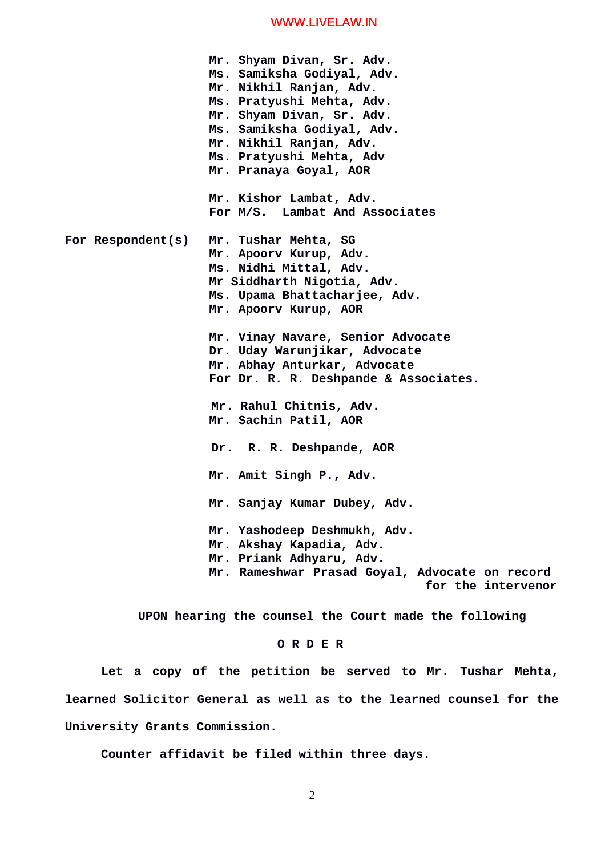## WWW.LIVELAW.IN

|                   | Mr. Shyam Divan, Sr. Adv.<br>Ms. Samiksha Godiyal, Adv.<br>Mr. Nikhil Ranjan, Adv.<br>Ms. Pratyushi Mehta, Adv.<br>Mr. Shyam Divan, Sr. Adv.<br>Ms. Samiksha Godiyal, Adv.<br>Mr. Nikhil Ranjan, Adv.<br>Ms. Pratyushi Mehta, Adv<br>Mr. Pranaya Goyal, AOR<br>Mr. Kishor Lambat, Adv.<br>For M/S. Lambat And Associates |
|-------------------|--------------------------------------------------------------------------------------------------------------------------------------------------------------------------------------------------------------------------------------------------------------------------------------------------------------------------|
| For Respondent(s) | Mr. Tushar Mehta, SG<br>Mr. Apoorv Kurup, Adv.<br>Ms. Nidhi Mittal, Adv.<br>Mr Siddharth Nigotia, Adv.<br>Ms. Upama Bhattacharjee, Adv.<br>Mr. Apoorv Kurup, AOR                                                                                                                                                         |
|                   | Mr. Vinay Navare, Senior Advocate<br>Dr. Uday Warunjikar, Advocate<br>Mr. Abhay Anturkar, Advocate<br>For Dr. R. R. Deshpande & Associates.                                                                                                                                                                              |
|                   | Mr. Rahul Chitnis, Adv.<br>Mr. Sachin Patil, AOR                                                                                                                                                                                                                                                                         |
|                   | Dr. R. R. Deshpande, AOR                                                                                                                                                                                                                                                                                                 |
|                   | Mr. Amit Singh P., Adv.                                                                                                                                                                                                                                                                                                  |
|                   | Mr. Sanjay Kumar Dubey, Adv.                                                                                                                                                                                                                                                                                             |
|                   | Mr. Yashodeep Deshmukh, Adv.<br>Mr. Akshay Kapadia, Adv.<br>Mr. Priank Adhyaru, Adv.<br>Mr. Rameshwar Prasad Goyal, Advocate on record<br>for the intervenor                                                                                                                                                             |
|                   | UPON hearing the counsel the Court made the following                                                                                                                                                                                                                                                                    |

## **O R D E R**

**Let a copy of the petition be served to Mr. Tushar Mehta, learned Solicitor General as well as to the learned counsel for the University Grants Commission.**

**Counter affidavit be filed within three days.**

2